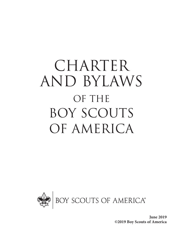# CHARTER AND BYLAWS OF THE BOY SCOUTS OF AMERICA



**June 2019 ©2019 Boy Scouts of America**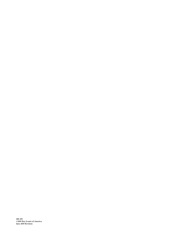**100-491 ©2019 Boy Scouts of America June 2019 Revision**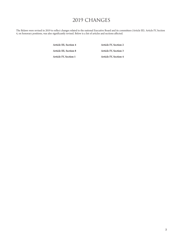### 2019 CHANGES

The Bylaws were revised in 2019 to reflect changes related to the national Executive Board and its committees (Article III). Article IV, Section 4, on honorary positions, was also significantly revised. Below is a list of articles and sections affected.

**Article III, Section 4**

**Article III, Section 8**

**Article IV, Section 3**

**Article IV, Section 1**

**Article IV, Section 4**

**Article IV, Section 2**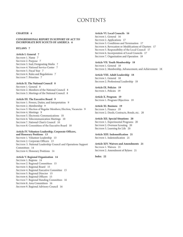### **CONTENTS**

#### **CHARTER 4**

**CONGRESSIONAL REPORT IN SUPPORT OF ACT TO INCORPORATE BOY SCOUTS OF AMERICA 6**

#### **BYLAWS 7**

**Article I. General 7** SECTION 1. Name 7 SECTION 2. Purpose 7 SECTION 3. Seal; Designating Marks 7 SECTION 4. National Service Center 7 SECTION 5. Fiscal Year 7 SECTION 6. Rules and Regulations 7 SECTION 7. Priorities 7

#### **Article II. The National Council 8**

SECTION 1. General 8 SECTION 2. Members of the National Council 8 SECTION 3. Meetings of the National Council 8

#### **Article III. The Executive Board 9**

SECTION 1. Powers, Duties, and Interpretation 9 SECTION 2. Membership 9 SECTION 3. Election of Regular Members; Election, Vacancies 9 SECTION 4. Meetings 9 SECTION 5. Electronic Communications 10 SECTION 6. Telecommunication Meetings 10 SECTION 7. National Chair's Council 10 SECTION 8. Committees of the Executive Board 10

#### **Article IV. Volunteer Leadership, Corporate Officers, and Honorary Positions 13**

SECTION 1. Volunteer Leadership 13 SECTION 2. Corporate Officers 13 SECTION 3. National Leadership Council and Operations Support Committees 14 SECTION 4. Honorary Positions 14

#### **Article V. Regional Organization 14**

SECTION 1. Regions 14 SECTION 2. Regional Committees 15 SECTION 3. Regional Board 15 SECTION 4. Regional Executive Committee 15 SECTION 5. Regional Director 15 SECTION 6. Regional Officers 15 SECTION 7. Regional Standing Committees 16 SECTION 8. Area Committees 16 SECTION 9. Regional Advisory Council 16

#### **Article VI. Local Councils 16**

SECTION 1. General 16 SECTION 2. Applications 17 SECTION 3. Conditions and Termination 17 SECTION 4. Revocation or Modifications of Charters 17 SECTION 5. Responsibility of the Local Council 17 SECTION 6. Incorporation of Local Councils 17 SECTION 7. Organization and Operation 18

#### **Article VII. Youth Membership 18**

SECTION 1. General 18 SECTION 2. Membership, Advancement, and Achievement 18

#### **Article VIII. Adult Leadership 18**

SECTION 1. General 18 SECTION 2. Professional Leadership 18

**Article IX. Policies 19** SECTION 1. Policies 19

**Article X. Program 19** SECTION 1. Program Objectives 19

**Article XI. Business 19** SECTION 1. Finance 19 SECTION 2. Deeds, Contracts, Bonds, etc. 20

**Article XII. Special Situations 20** SECTION 1. Experimental Programs 20 SECTION 2. Overseas Scouting 20 SECTION 3. Learning for Life 20

**Article XIII. Indemnification 21** SECTION 1. Indemnification 21

**Article XIV. Waivers and Amendments 21** SECTION 1. Waivers 21 SECTION 2. Amendment of Bylaws 21

**Index 22**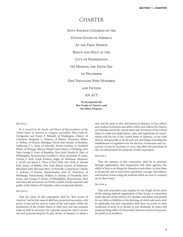### CHARTER

Sixty-Fourth Congress of the

United States of America

At the First Session

BEGUN AND HELD AT THE

### CITY OF WASHINGTON

#### On Monday, the Sixth Day

#### of December

One Thousand Nine Hundred

and Fifteen

#### AN ACT

**To Incorporate the Boy Scouts of America and for Other Purposes**

#### SECTION<sub>1</sub>.

*Be it enacted by the Senate and House of Representatives of the United States of America in Congress assembled,* That Colin H. Livingstone and Ernest P. Bicknell, of Washington, District of Columbia; Benjamin L. Dulaney, of Bristol, Tennessee; Milton A. McRae, of Detroit, Michigan; David Starr Jordan, of Berkeley, California; F. L. Seely, of Asheville, North Carolina; A. Stamford White, of Chicago, Illinois; Daniel Carter Beard, of Flushing, New York; George D. Pratt, of Brooklyn, New York; Charles D. Hart, of Philadelphia, Pennsylvania; Franklin C. Hoyt, Jeremaiah W. Jenks, Charles P. Neill, Frank Presbrey, Edgar M. Robinson, Mortimer L. Schiff, and James E. West, of New York, New York; G. Barrett Rich, Junior, of Buffalo, New York; Robert Garrett, of Baltimore, Maryland; John Sherman Hoyt, of Norwalk, Connecticut; Charles C. Jackson, of Boston, Massachusetts; John H. Nicholson, of Pittsburgh, Pennsylvania; William D. Murray, of Plainfield, New Jersey; and George D. Porter, of Philadelphia, Pennsylvania, their associates and successors, are hereby created a body corporate and politic of the District of Columbia, where its domicile shall be.

#### SECTION 2.

That the name of this corporation shall be "Boy Scouts of America," and by that name it shall have perpetual succession, with power to sue and be sued in courts of law and equity within the jurisdiction of the United States; to hold such real and personal estate as shall be necessary for corporate purposes, and to receive real and personal property by gift, devise, or bequest; to adopt a

seal, and the same to alter and destroy at pleasure; to have offices and conduct its business and affairs within and without the District of Columbia and in the several States and Territories of the United States; to make and adopt bylaws, rules, and regulations not inconsistent with the law of the United States of America, or any State thereof, and generally to do all such acts and things (including the establishment of regulations for the election of associates and successors) as may be necessary to carry into effect the provisions of this Act and promote the purposes of said corporation.

#### SECTION 3.

That the purpose of this corporation shall be to promote, through organization, and cooperation with other agencies, the ability of boys to do things for themselves and others, to train them in Scoutcraft, and to teach them patriotism, courage, self-reliance, and kindred virtues, using the methods which are now in common use by Boy Scouts.

#### SECTION 4.

That said corporation may acquire, by way of gift, all the assets of the existing national organization of Boy Scouts, a corporation under the laws of the District of Columbia, and defray and provide for any debts or liabilities to the discharge of which said assets shall be applicable; but said corporation shall have no power to issue certificates of stock or to declare or pay dividends, its object and purposes being solely of a benevolent character and not for pecuniary profit to its members.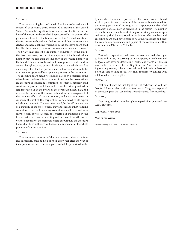#### SECTION 5.

That the governing body of the said Boy Scouts of America shall consist of an executive board composed of citizens of the United States. The number, qualifications, and terms of office of members of the executive board shall be prescribed by the bylaws. The persons mentioned in the first section of this Act shall constitute the first executive board and shall serve until their successors are elected and have qualified. Vacancies in the executive board shall be filled by a majority vote of the remaining members thereof. The bylaws may prescribe the number of members of the executive board necessary to constitute a quorum of the board, which number may be less than the majority of the whole number of the board. The executive board shall have power to make and to amend the bylaws, and, by two-thirds vote of the whole board at a meeting called for this purpose, may authorize and cause to be executed mortgages and liens upon the property of the corporation. The executive board may, by resolution passed by a majority of the whole board, designate three or more of their number to constitute an executive or governing committee, of which a majority shall constitute a quorum, which committee, to the extent provided in said resolution or in the bylaws of the corporation, shall have and exercise the powers of the executive board in the management of the business affairs of the corporation, and may have power to authorize the seal of the corporation to be affixed to all papers which may require it. The executive board, by the affirmative vote of a majority of the whole board, may appoint any other standing committees, and such standing committees shall have and may exercise such powers as shall be conferred or authorized by the bylaws. With the consent in writing and pursuant to an affirmative vote of a majority of the members of said corporation, the executive board shall have authority to dispose in any manner of the whole property of the corporation.

#### SECTION 6.

That an annual meeting of the incorporators, their associates and successors, shall be held once in every year after the year of incorporation, at such time and place as shall be prescribed in the

bylaws, when the annual reports of the officers and executive board shall be presented and members of the executive board elected for the ensuing year. Special meetings of the corporation may be called upon such notice as may be prescribed in the bylaws. The number of members which shall constitute a quorum at any annual or special meeting shall be prescribed in the bylaws. The members and executive board shall have power to hold their meetings and keep the seal, books, documents, and papers of the corporation within or without the District of Columbia.

#### SECTION 7.

That said corporation shall have the sole and exclusive right to have and to use, in carrying out its purposes, all emblems and badges, descriptive or designating marks, and words or phrases now or heretofore used by the Boy Scouts of America in carrying out its program, it being distinctly and definitely understood, however, that nothing in this Act shall interfere or conflict with established or vested rights.

#### SECTION 8.

That on or before the first day of April of each year the said Boy Scouts of America shall make and transmit to Congress a report of its proceedings for the year ending December thirty-first preceding.\*

#### SECTION 9.

That Congress shall have the right to repeal, alter, or amend this Act at any time.

Approved 15 June 1916

Woodrow Wilson

\*As amended August 30, 1964, Pub. L. 88-504, 78 Stat. 636.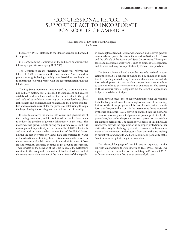### CONGRESSIONAL REPORT IN SUPPORT OF ACT TO INCORPORATE BOY SCOUTS OF AMERICA

#### House Report No. 130, Sixty-Fourth Congress First Session

February 7, 1916.—Referred to the House Calendar and ordered to be printed.

Mr. Gard, from the Committee on the Judiciary, submitting the following report (to accompany H. R. 755).

The Committee on the Judiciary, to whom was referred the bill (H. R. 755) to incorporate the Boy Scouts of America and to protect its insignia, having carefully considered the same, beg leave to submit the following report with the recommendation that the bill do pass.

The Boy Scout movement is not one seeking to promote a juvenile military system, but is intended to supplement and enlarge established modern educational facilities in activities in the great and healthful out-of-doors where may be the better developed physical strength and endurance, self-reliance, and the powers of initiative and resourcefulness, all for the purpose of establishing through the boys of today the very highest type of American citizenship.

It tends to conserve the moral, intellectual, and physical life of the coming generation, and in its immediate results does much to reduce the problem of juvenile delinquency in the cities. The movement has grown rapidly during the past few years, until it is now organized in practically every community of 4,000 inhabitants and over and in many smaller communities of the United States. During the past two years Boy Scouts have demonstrated the value of the education and training they received as an auxiliary force in the maintenance of public order and in the administration of firstaid and practical assistance in times of great public emergencies. Their services on the occasion of the Ohio floods, at the Gettysburg reunion, in the inaugural ceremonies of President Wilson, and at the recent memorable reunion of the Grand Army of the Republic

in Washington attracted Nationwide attention and received general commendation, particularly from the American National Red Cross and the officials of the Federal and State Governments. The importance and magnitude of its work is such as entitle it to recognition and its work and insignia to protection by Federal incorporation.

The Scout scheme is based upon the methods involved in educating the boy. It is a scheme of placing the boy on honor. In addition to requiring him to live up to a standard or code of laws which insure development of character along proper lines, it requires him to study in order to pass certain tests of qualification. The passing of these various tests is recognized by the award of appropriate badges or medals and insignia.

If any boy can secure these badges without meeting the required tests, the badges will soon be meaningless, and one of the leading features of the Scout program will be lost; likewise, with the uniform that designates the Scout. At the present time this is protected by the use of insignia—a seal woven or stamped into the cloth. All of these various badges and insignia are at present protected by the patent laws, but under the patent laws such protection is available for a limited period only. The passing by Congress of this bill will, it is believed, provide the organization with proper protection for its distinctive insignia, the integrity of which is essential to the maintenance of the movement, and protect it from those who are seeking to profit by the good repute and high standing and popularity of the Scout movement by imitating it in name alone.

The identical language of this bill was incorporated in the bill with amendments thereto, known as H.R. 19907, which was reported from the Committee on the Judiciary on February 3, 1915, with a recommendation that it, as so amended, do pass.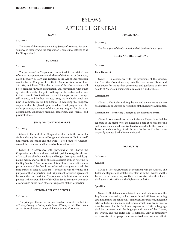## BYLAWS ARTICLE I. GENERAL

#### **NAME**

SECTION 1.

The name of the corporation is Boy Scouts of America. For convenience in these Bylaws the corporation is sometimes referred to as the "Corporation."

#### **PURPOSE**

#### SECTION 2.

The purpose of the Corporation is as set forth in the original certificate of incorporation under the laws of the District of Columbia, dated February 8, 1910, and restated in the Act of Incorporation enacted by the Congress of the United States of America on June 15, 1916, as follows: "That the purpose of this Corporation shall be to promote, through organization and cooperation with other agencies, the ability of boys to do things for themselves and others, to train them in Scoutcraft, and to teach them patriotism, courage, self-reliance, and kindred virtues, using the methods which are now in common use by Boy Scouts." In achieving this purpose, emphasis shall be placed upon its educational program and the oaths, promises, and codes of the Scouting program for character development, citizenship training, leadership, and mental and physical fitness.

#### **SEAL; DESIGNATING MARKS**

#### SECTION 3.

*Clause 1.* The seal of the Corporation shall be in the form of a circle enclosing the universal badge with the motto "Be Prepared" underneath the badge and the words "Boy Scouts of America" around the circle and shall be used only as authorized.

*Clause 2.* In accordance with provisions of the Charter, the Corporation shall establish and maintain policies to regulate the use of the seal and all other emblems and badges, descriptive and designating marks, and words or phrases associated with or referring to the Boy Scouts of America or any of its affiliates. Such policies may permit the use of the Boy Scouts of America designating marks by third parties as long as such are (i) consistent with the values and purpose of the Corporation, and (ii) pursuant to written agreement between the user and the Corporation. Administration of such policies is the responsibility of the Chief Scout Executive, who may delegate such duties to an officer or employee of the Corporation.

#### **NATIONAL SERVICE CENTER**

#### SECTION 4.

The principal office of the Corporation shall be located in the City of Irving, County of Dallas, in the State of Texas, and shall be known as the National Service Center of the Boy Scouts of America.

#### **FISCAL YEAR**

SECTION<sub>5</sub>.

The fiscal year of the Corporation shall be the calendar year.

#### **RULES AND REGULATIONS**

SECTION<sub>6</sub>.

#### **Establishment**

*Clause 1.* In accordance with the provisions of the Charter, the Executive Committee may establish and amend Rules and Regulations for the further governance and guidance of the Boy Scouts of America including its local councils and affiliates.

#### **Amendment**

*Clause 2.* The Rules and Regulations and amendments thereto shall normally be adopted by resolution of the Executive Committee.

#### **Amendment—Reporting Changes to the Executive Board**

*Clause 3.* Any amendment to the Rules and Regulations shall be reported to the members of the Executive Board at its next meeting and unless such amendment is altered or canceled by the Executive Board at such meeting, it will be as effective as if it had been originally adopted by the Executive Board.

#### **PRIORITIES**

SECTION<sub>7</sub>.

#### **General**

*Clause 1.* These Bylaws shall be consistent with the Charter. The Rules and Regulations shall be consistent with the Charter and the Bylaws. In the event of any conflicts or inconsistencies, the Charter shall govern primarily and the Bylaws secondarily.

#### **Specifics**

*Clause 2.* All statements contained in official publications of the Boy Scouts of America, its local councils and affiliates, including (but not limited to) handbooks, pamphlets, instructions, magazine articles, bulletins, manuals, and letters, which may, from time to time, be issued for clarification or explanation of official language shall be consistent with the language and intent of the Charter, the Bylaws, and the Rules and Regulations. Any contradictory or inconsistent language is unauthorized and without effect.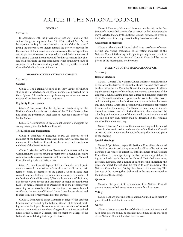### ARTICLE II. THE NATIONAL COUNCIL

#### **GENERAL**

#### SECTION 1.

In accordance with the provisions of sections 1 and 2 of the Act of Congress, approved June 15, 1916, entitled "An Act to Incorporate the Boy Scouts of America and for Other Purposes," giving the incorporators therein named the power to provide for the election of their associates and successors, the incorporators, and all persons who were duly elected and qualified as members of the National Council herein provided for their successors duly chosen, shall constitute the corporate membership of the Boy Scouts of America, to be known and designated collectively as the National Council of the Boy Scouts of America.

#### **MEMBERS OF THE NATIONAL COUNCIL**

#### SECTION 2.

#### **General**

*Clause 1.* The National Council of the Boy Scouts of America shall consist of elected and ex officio members as provided for in these Bylaws. All members, except honorary members and commissioned professional Scouters, may vote.

#### **Eligibility Requirements**

*Clause 2.* No person shall be eligible for membership on the National Council who is not a citizen of the United States or has not taken the preliminary legal steps to become a citizen of the United States.

*Clause 3.* A commissioned professional Scouter is ineligible for voting privileges on the National Council.

#### **The Election and Designation**

*Clause 4.* Members of Executive Board. All persons elected members of the Executive Board shall upon their election become members of the National Council for the term of their election as members of the Executive Board.

*Clause 5.* Members of Regional Executive Committees and Area Commissioners. Persons serving as members of a regional executive committee and area commissioners shall be members of the National Council during their respective terms.

*Clause 6.* Local Council Representatives. The duly elected president and council commissioner of a local council shall, during their terms of office, be members of the National Council. Each local council may, in addition, elect one of its members as a member of the National Council for every 5,000 youth members (Cub Scouts, Boy Scouts, Varsity Scouts, and Venturers), or major portion thereof (2,501 or more), enrolled as of December 31 of the preceding year according to the records of the Corporation. Local councils shall certify as to the election of National Council members so elected and to their terms on forms provided for that purpose.

*Clause 7.* Members at Large. Members at large of the National Council may be elected by the National Council at its annual meeting to serve for 1 year. Persons who become members of national support committees and members of regional committees as defined under article V, section 2 hereof, shall be members at large of the National Council during their respective terms.

*Clause 8.* Honorary Members. Honorary membership in the Boy Scouts of America shall consist of such citizens of the United States as may be elected thereto by the National Council for terms of 1 year in the furtherance of the program of the Boy Scouts of America.

#### **Credentials of Members**

*Clause 9.* The National Council shall issue certificates of membership and voting credentials to all voting members of the National Council indicating their right to participate and to vote at the annual meeting of the National Council. Votes shall be cast in person at the meeting and not by proxy.

#### **MEETINGS OF THE NATIONAL COUNCIL**

SECTION 3.

#### **Regular Meetings**

*Clause 1.* General. The National Council shall meet annually inside or outside of the District of Columbia at such time and place as may be determined by the Executive Board, for the purpose of delivering the annual reports of the officers and various committees of the National Council, electing members at large and honorary members of the National Council and regular members of its Executive Board, and transacting such other business as may come before the meeting. The National Chair shall determine what business is appropriate to come before the meeting. The Executive Board may, in its sole discretion, present matters of significance to the movement for a binding referendum vote of the National Council at the annual meeting and any such matter shall be described in the required notice of the annual meeting.

*Clause 2.* Notice. A notice of the annual meeting shall be mailed or sent by electronic mail to each member of the National Council at least 30 days in advance thereof, indicating the time and place of the meeting.

#### **Special Meetings**

*Clause 3.* Special meetings of the National Council may be called by the Executive Board at any time and shall be called within 90 days upon the request of at least 5% of the members of the National Council (such request specifying the object of such a special meeting) to be held at such place as the National Chair shall determine, provided, however, that a notice of such meeting, indicating the place and object thereof, shall be mailed to each member of the National Council at least 30 days in advance of the meeting. The business of the meeting shall be limited to the matters included in the notice of the meeting.

#### **Quorum**

*Clause 4.* Five percent of the members of the National Council present in person shall constitute a quorum for all purposes.

#### **Voting**

*Clause 5.* At any meeting of the National Council, each member present shall be entitled to one vote.

#### **Guests**

*Clause 6.* Honorary members of the Boy Scouts of America and such other persons as may be specially invited may attend meetings of the National Council but shall have no vote.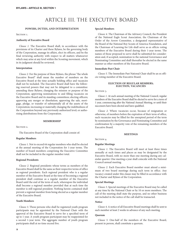### ARTICLE III. THE EXECUTIVE BOARD

#### **POWERS, DUTIES, AND INTERPRETATION**

SECTION 1.

#### **Authority of Executive Board**

*Clause 1.* The Executive Board shall, in accordance with the provisions of its Charter and these Bylaws, be the governing body of the Corporation, manage its affairs, elect its officers, and be the final reviewing authority with respect to all matters whatsoever which may arise at any level within the Scouting movement, which in its judgment should be reviewed.

#### **Interpretation**

*Clause 2.* For the purpose of these Bylaws, the phrase "the whole Executive Board" shall mean the number of members on the Executive Board at the time actually holding office and vacancies shall not be included. The Executive Board shall have the following reserved powers that may not be delegated to a committee: amending these Bylaws; changing the mission or purpose of the Corporation; approving nominations to and filling vacancies on the Executive Board and its standing committees; electing officers; approving any merger or dissolution; approving the sale, mortgage, pledge, or transfer of substantially all of the assets of the Corporation; increasing or materially changing the indebtedness of the Corporation beyond any previously authorized level; or authorizing distributions from the Corporation.

#### **MEMBERSHIP**

SECTION<sub>2</sub>.

The Executive Board of the Corporation shall consist of:

#### **Regular Members**

*Clause 1.* Not to exceed 64 regular members who shall be elected at the annual meeting of the Corporation for 1-year terms. The number of board members comprising the Executive Committee shall not be included in the regular member total.

#### **Regional Presidents**

*Clause 2.* Regional presidents whose terms as members of the Executive Board shall be the same as their respective terms of office as regional presidents. Each regional president who is a regular member of the Executive Board at the time of becoming a regional president shall continue as a regular member of the Executive Board until the end of the term of such, whereupon the individual shall become a regional member provided that at such time the member is still regional president. Nothing herein contained shall prevent a regional member from being elected as a regular member of the Executive Board.

#### **Youth Members**

*Clause 3.* Those persons who shall be registered youth program participants may be appointed by the National Chair with the approval of the Executive Board to serve for a specified term of up to 1 year. A youth program participant may be reappointed for a second 1-year term. The aggregate number of youth program participants shall at no time exceed five.

#### **Special Members**

*Clause 4.* The Chairman of the Advisory Council, the President of the National Eagle Scout Association, the Chairman of the Order of the Arrow Committee, a designated representative of the Board of the National Boy Scouts of America Foundation, and the Chairman of Learning for Life shall serve as ex officio voting members of the Executive Board during their 1-year terms. The names of those proposed to serve shall be submitted for consideration and, if accepted, nomination to the national Governance and Nominating Committee and shall thereafter be elected in the same manner as other members of the Executive Board.

#### **Immediate Past Chair**

*Clause 5.* The Immediate Past National Chair shall be an ex officio voting member of the Executive Board.

#### **ELECTION OF REGULAR MEMBERS; ELECTION, VACANCIES**

#### SECTION 3.

*Clause 1.* At each annual meeting of the National Council, regular members of the Executive Board shall be elected to serve for a term of 1 year, commencing after the National Annual Meeting, or until their successors have been elected and have qualified.

*Clause 2.* Where vacancies occur, because of resignation or otherwise, of members before the expiration of their term of office, such vacancies may be filled for the unexpired period of the term by nomination by the Governance and Nominating Committee and confirmation by a majority vote of the remaining members of the Executive Board.

#### **MEETINGS**

SECTION 4.

#### **Regular Meetings**

*Clause 1.* The Executive Board will meet at least three times annually at such times and places as may be designated by the Executive Board, with no more than one meeting during any calendar quarter. One meeting a year shall coincide with the National Council annual meeting.

*Clause 2.* Each Executive Board member must attend a minimum of two board meetings during each term in office. Any vacancy created under this clause may be filled in accordance with the Charter and Bylaws of the Corporation.

#### **Special Meetings**

*Clause 3.* Special meetings of the Executive Board may be called at any time by the National Chair or by 10 or more members. The call of the meeting shall state the purpose, and no other business not included in the notice of the call shall be transacted.

#### **Notice**

*Clause 4.* A notice of all Executive Board meetings shall be sent to each member at least 2 weeks in advance of any such meeting.

#### **Quorum**

*Clause 5.* One-half of the members of the Executive Board, present in person, shall constitute a quorum.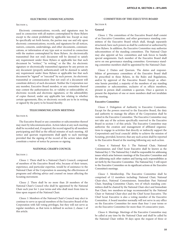#### **ELECTRONIC COMMUNICATIONS**

#### SECTION 5.

Electronic communications, records, and signatures may be used in connection with all matters contemplated by these Bylaws except to the extent prohibited by applicable law. Except as may be specifically set forth herein, the parties may use and rely upon electronic communications, records, and signatures for all notices, waivers, consents, undertakings, and other documents, communications, or information of any type sent or received in connection with the matters contemplated by these Bylaws. An electronically transmitted (but not oral) document will be deemed to satisfy any requirement under these Bylaws or applicable law that such document be "written," "in writing," or the like. An electronic signature or electronically transmitted signature by any person on any document (properly authenticated) will be deemed to satisfy any requirement under these Bylaws or applicable law that such document be "signed" or "executed" by such person. An electronic transmittal or communication (but not oral) of a document will constitute delivery of such document. Neither the Corporation nor any member, Executive Board member, or any committee thereof may contest the authorization for, or validity or enforceability of, electronic records and electronic signatures, or the admissibility of copies thereof, under any applicable law relating to whether certain agreements, files, or electronic records are to be in writing or signed by the party to be bound thereby.

#### **TELECOMMUNICATION MEETINGS**

#### SECTION<sub>6</sub>.

The Executive Board or any committee or subcommittee thereof may meet by telecommunication. Action taken at any such meeting shall be recorded and, if required, the record signed by all members participating and filed as the official minutes of such meeting. All notice and quorum requirements shall apply to such meetings provided that the signing of the record of the action taken shall constitute a waiver of notice by persons so signing.

#### **NATIONAL CHAIR'S COUNCIL**

#### SECTION<sub>7</sub>.

*Clause 1.* There shall be a National Chair's Council, composed of members of the Executive Board who, because of their tenure, experience, and particular expertise, would be of assistance to the National Chair of the Corporation in assessing the effectiveness of programs and offering advice and counsel on issues affecting the Scouting movement.

*Clause 2.* There shall be no more than 20 members of the National Chair's Council who shall be appointed by the National Chair each year for 1-year terms and who shall meet from time to time upon request of the National Chair.

*Clause 3.* Members of the National Chair's Council may elect to continue to serve as special members of the Executive Board of the Corporation with full voting privileges, but they will not serve as regular members, as that term is defined in section 2, clause 1 of this article.

#### **COMMITTEES OF THE EXECUTIVE BOARD**

#### Section 8.

#### **General**

*Clause 1.* The committees of the Executive Board shall consist of an Executive Committee, and other governance standing committees of the Executive Board which shall, though separately structured, have such powers as shall be conferred or authorized by these Bylaws. In addition, the Executive Committee may authorize subcommittees of the standing committees. The National Chair may also appoint ad hoc committees and task forces to handle special assignments. Each member of the Executive Board shall serve on one governance standing committee. Governance standing committee members shall be appointed by the National Chair.

*Clause 2.* Duties and Quorum. The duties and responsibilities of governance committees of the Executive Board shall be prescribed in these Bylaws, in the Rules and Regulations, and/or by approval of the Executive Board. Except as otherwise herein provided, a majority of the members of any standing committee or subcommittee, exclusive of ex officio members, present in person shall constitute a quorum. Once a quorum is present the departure of one or more members shall not invalidate the meeting.

#### **Executive Committee**

*Clause 3.* Delegation of Authority to Executive Committee. Except for the powers reserved to the Executive Board, the duty and authority to manage the affairs of the Corporation shall be vested in the Executive Committee. The Executive Committee may not take any of the actions specifically reserved to the Executive Board in section 1 of this article. The Executive Committee may authorize the creation and management of affiliated organizations to engage in activities that directly or indirectly support the Corporation's and local councils' ability to achieve the mission of Scouting, provided, however, that any such action shall be reported to the Executive Board at the meeting following any such action.

*Clause 4.* National Key 3. The National Chair, National Commissioner, and Chief Scout Executive shall be known as the National Key 3. The National Key 3 shall be responsible for addressing issues which arise between meetings of the Executive Committee and for addressing such other matters and having such responsibilities as set forth by the Executive Committee. The National Key 3 will report to the Executive Committee on its significant actions at the Executive Committee's meetings.

*Clause 5.* Membership. The Executive Committee shall be comprised of 12 members including: National Chair, National Chair-elect, National Commissioner, Immediate Past National Chair, Standing Committee Chairs, two of which standing committees shall be chaired by the National Chair-elect and Immediate Past Chair, two members-at-large recommended by the National Chair or National Chair-elect and the Chief Scout Executive. The Chief Scout Executive is also a voting member of the Executive Committee. A board member normally will not serve in any office on the Executive Committee for more than four 1-year terms or on the Executive Committee for more than 10 consecutive years.

*Clause 6.* Meetings. Meetings of the Executive Committee may be called at any time by the National Chair and shall be called by the National Chair within 30 days upon the request of three or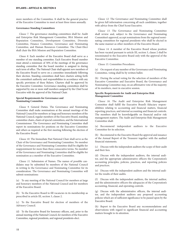more members of the Committee. It shall be the general practice of the Executive Committee to meet at least three times annually.

#### **Governance Standing Committees**

*Clause 7.* The governance standing committees shall be: Audit and Enterprise Risk Management Committee, BSA Mission and Reputation Committee, Development Committee, Diversity Committee, Finance Committee, Governance and Nominating Committee, and Human Resources Committee. The Chair-Elect shall chair the BSA Mission and Reputation Committee.

*Clause 8.* Each member of the Executive Board shall serve as a member of one standing committee. Each Executive Board member must attend a minimum of 50% of the meetings of the governance standing committee that the board member is assigned to during each term of office. The National Chair shall appoint new members of the Executive Board to serve on a committee immediately following their election. Standing committees shall have charters setting forth the committee's authority and responsibilities in accordance with any specific provisions of these Bylaws. Charters shall be approved by the Executive Committee. Governance standing committees shall be supported by one or more staff members assigned by the Chief Scout Executive with the approval of the National Chair.

#### **Special Requirements for Governance and Nominating Committee**

*Clause 9.* General Duties. The Governance and Nominating Committee shall make nominations at the annual meetings of the National Council for members-at-large and honorary members of the National Council, regular members of the Executive Board, standing committee chairs, chairs of special committees, and the International Commissioner. The Governance and Nominating Committee shall report its nominations for positions on the Executive Committee and others as required at the first meeting following the election of the Executive Board.

*Clause 10.* The Immediate Past National Chair shall serve as the Chair of the Governance and Nominating Committee. No member of the Governance and Nominating Committee shall be eligible for reappointment for more than three consecutive terms. No member of the Governance and Nominating Committee shall be eligible for nomination as a member of the Executive Committee.

*Clause 11.* Submission of Names. The names of possible candidates may be submitted by members of the National Council in writing to the Governance and Nominating Committee for its consideration. The Governance and Nominating Committee will submit nominations:

(a) To any meeting of the National Council for members at large and honorary members of the National Council and for members of the Executive Board.

(b) To the Executive Board to fill vacancies in its membership as prescribed in article III, section 3, clause 2.

(c) To the Executive Board for election of members of the Advisory Council.

(d) To the Executive Board for honorary officers, and, prior to the annual meeting of the National Council, for members of the Executive Committee, regional presidents, and regional presidents-elect.

*Clause 12.* The Governance and Nominating Committee shall be given full information concerning all such candidates, together with advice from the Chief Scout Executive.

*Clause 13.* The Governance and Nominating Committee shall review and, subject to the Governance and Nominating Committee's approval, accept nominations from the regional nominating committees for regional presidents who shall be elected in the same manner as other members of the Executive Board.

*Clause 14.* A member of the Executive Board whose position has been vacated pursuant to article III, section 3, clause 2 shall be renominated to the Executive Board only with the approval of the Executive Committee.

*Clause 15.* Committee Procedures.

(a) On request of any member of the Governance and Nominating Committee, voting shall be by written ballot.

(b) During the actual voting for the selection of members of the Executive Committee and Executive Board, the Governance and Nominating Committee may, on an affirmative vote of the majority of its members, meet in executive session.

#### **Specific Requirements for Audit and Enterprise Risk Management Committee**

*Clause 16.* The Audit and Enterprise Risk Management Committee shall fulfill the Executive Board's fiduciary responsibilities relating to accounting and financial matters, financial reporting practices, and internal accounting and financial controls. The members shall be knowledgeable on financial and/or risk management matters. The Audit and Enterprise Risk Management Committee shall:

(a) Recommend independent auditors to the Executive Committee for its selection.

(b) Recommend to the Executive Board the approval and issuance of the Annual Report of the Treasurer together with the audited financial statements.

(c) Discuss with the independent auditors the scope of their audit and their fees.

(d) Discuss with the independent auditors, the internal auditor, and the appropriate administrative officers the Corporation's accounting principles, policies, practices, and reporting policies and practices.

(e) Discuss with the independent auditors and the internal auditor the results of their audits.

(f) Discuss with the independent auditors, the internal auditor, and the administrative officers the adequacies of the Corporation's accounting, financial, and operating controls.

(g) Discuss with the administrative officers, the internal auditor, and the independent auditors any proposed accounting policies which are of sufficient significance to be passed upon by the Executive Board.

(h) Report to the Executive Board any recommendations and observations with regard to significant financial and accounting matters brought to its attention.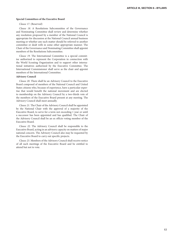#### **Special Committees of the Executive Board**

#### *Clause 17.* (Reserved)

*Clause 18.* A Resolutions Subcommittee of the Governance and Nominating Committee shall review and determine whether any resolution proposed by a member of the National Council is appropriate for discussion at the National Council annual business meeting or whether any such matter should be referred to another committee or dealt with in some other appropriate manner. The Chair of the Governance and Nominating Committee shall appoint members of the Resolutions Subcommittee.

*Clause 19.* The International Committee is a special committee authorized to represent the Corporation in connection with the World Scouting Organization and to support other international initiatives authorized by the Executive Committee. The International Commissioner shall serve as the chair and appoint members of the International Committee.

#### **Advisory Council**

*Clause 20.* There shall be an Advisory Council to the Executive Board composed of members of the National Council and United States citizens who, because of experience, have a particular expertise that would benefit the national movement and are elected to membership on the Advisory Council by a two-thirds vote of the members of the Executive Board present at any meeting. The Advisory Council shall meet annually.

*Clause 21.* The Chair of the Advisory Council shall be appointed by the National Chair with the approval of a majority of the Executive Board, to serve for a term not exceeding 1 year or until a successor has been appointed and has qualified. The Chair of the Advisory Council shall be an ex officio voting member of the Executive Board.

*Clause 22.* The Advisory Council shall be responsible to the Executive Board, acting in an advisory capacity on matters of major national concern. The Advisory Council also may be requested by the Executive Board to carry out specific projects.

*Clause 23.* Members of the Advisory Council shall receive notice of all such meetings of the Executive Board and be entitled to attend but not to vote.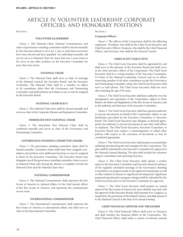### ARTICLE IV. VOLUNTEER LEADERSHIP, CORPORATE OFFICERS, AND HONORARY POSITIONS

SECTION 1.

#### **VOLUNTEER LEADERSHIP**

*Clause 1.* The National Chair, National Commissioner, and chairs of governance standing committees shall be elected annually by the Executive Board to serve for 1 year or until their successors have been elected and have qualified. An individual normally will not (a) serve as National Chair for more than two 1-year terms or (b) serve in any other position on the Executive Committee for more than four terms.

#### **NATIONAL CHAIR**

*Clause 2.* The National Chair shall serve as chair of meetings of the National Council, the Executive Board, and the Executive Committee. The National Chair shall be a member ex officio of all committees, other than the Governance and Nominating Committee, and shall perform such duties as are or may be assigned by the Executive Board.

#### **NATIONAL CHAIR-ELECT**

*Clause 3.* The National Chair-elect shall be elected annually and serves as chair of the Corporate Mission and Reputation Committee.

#### **IMMEDIATE PAST NATIONAL CHAIR**

*Clause 4.* The Immediate Past National Chair shall be confirmed annually and serves as chair of the Governance and Nominating Committee.

#### **GOVERNANCE STANDING COMMITTEE CHAIRS**

*Clause 5.* The governance standing committee chairs shall be elected annually. Committee chairs shall chair their assigned committees and perform such additional functions as may be assigned to them by the Executive Committee. The Executive Board may designate one of the governance standing committee chairs to serve as National Chair only during the absence or inability of both the National Chair and the National Chair-elect.

#### **NATIONAL COMMISSIONER**

*Clause 6.* The National Commissioner shall represent the Boy Scouts of America in national affairs, be the chief morale officer of the Boy Scouts of America, and represents the commissioner service team.

#### **INTERNATIONAL COMMISSIONER**

*Clause 7.* The International Commissioner shall represent the Boy Scouts of America in international affairs and shall serve as chair of the International Committee.

#### SECTION 2.

#### **Corporate Officers**

*Clause 1.* The officers of the Corporation shall be the following employees: President, who shall be the Chief Scout Executive and Chief Executive Officer; Treasurer, who shall be the Chief Financial Officer; and Secretary, who shall be the General Counsel.

#### **CHIEF SCOUT EXECUTIVE**

*Clause 2.* The Chief Scout Executive shall be appointed by and shall serve at the pleasure of the Executive Board and shall serve as the chief executive officer of the Corporation. The Chief Scout Executive shall be a voting member of the Executive Committee, Co-Chair of the National Leadership Council, and an ex officio nonvoting member of all other committees except the Governance and Nominating Committee, where the Chief Scout Executive shall serve as staff advisor. The Chief Scout Executive shall not serve after attaining the age of 65 years.

*Clause 3.* The Chief Scout Executive shall have authority over the management and operations of the Corporation, subject to these Bylaws, the Rules and Regulations of the Boy Scouts of America, and to the authority and direction of the Executive Committee.

*Clause 4.* The Chief Scout Executive shall have general authority to execute documents on behalf of the Corporation subject to any limitations prescribed by the Executive Committee or Executive Board. The Chief Scout Executive may delegate, as deemed appropriate, his authority to execute documents to any other staff officer or employee. The Chief Scout Executive, Executive Committee, or Executive Board may require a countersignature or adopt other policies with respect to the execution of documents as may be considered appropriate.

*Clause 5.* The Chief Scout Executive shall prepare an annual plan outlining operational goals and strategies for the Corporation. The plan shall be submitted to the Executive Committee for approval at the National Annual Meeting. The plan shall include the volunteer support committees and reporting structure.

*Clause 6.* The Chief Scout Executive shall submit a written report to the Executive Committee and Executive Board in advance of the regularly scheduled meetings of the Governance Standing Committees, on progress made on the approved annual plan as well as other matters of interest or significant developments. Significant proposed operational or program changes shall be submitted by the Chief Scout Executive to the Executive Committee for approval.

*Clause 7.* The Chief Scout Executive shall prepare an annual report of the Boy Scouts of America for each calendar year and, with the approval of the Executive Board, shall transmit it to Congress, as required by the provisions of the federal Charter, and shall present it to the National Council at the time of its annual meeting.

#### **CHIEF FINANCIAL OFFICER AND TREASURER**

*Clause 8.* The Chief Financial Officer shall serve as Treasurer and shall monitor the financial affairs of the Corporation. The Chief Financial Officer shall utilize a system of internal controls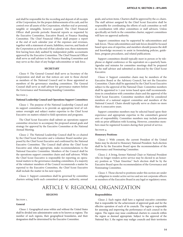and shall be responsible for the recording and deposit of all receipts of the Corporation, for the proper disbursements of its cash, and for control over all assets of the Corporation, whether real or personal, tangible or intangible, however acquired. The Chief Financial Officer shall provide periodic financial reports as requested by the Executive Committee, Executive Board, or Finance Standing Committee. The Chief Financial Officer shall prepare a report at the end of each calendar year of the expenses and revenues, together with a statement of assets, liabilities, reserves, and funds of the Corporation as at the end of that calendar year, these statements first having been duly audited by independent public accountants approved by the Executive Committee. The Chief Financial Officer shall serve as staff advisor to the Finance Standing Committee and may serve as the chair of any budget subcommittee or task force.

#### **SECRETARY**

*Clause 9.* The General Counsel shall serve as Secretary of the Corporation and shall see that notices are sent to those elected as members of the National Council and to those appointed as members of the governance standing committees. The General Counsel shall serve as staff advisor for governance matters before the Governance and Nominating Standing Committee.

#### SECTION 3.

#### **National Leadership Council and Operations Support Committees**

*Clause 1.* The purpose of the National Leadership Council and its support committees is to provide an appropriate level of volunteer oversight and subject matter expertise to the Chief Scout Executive on matters related to field operations and programs.

The Chief Scout Executive shall submit an operations support committee structure to accompany the proposed annual goals and strategy for approval by the Executive Committee at the National Annual Meeting.

*Clause 2.* The National Leadership Council shall be co-chaired by the Chief Scout Executive and a volunteer Board member proposed by the Chief Scout Executive and confirmed by the National Executive Committee. The Council shall advise the Chief Scout Executive and, when appropriate, make recommendations to the National Executive Committee. Members of the Council shall be the operations support committee chairs and staff advisors. While the Chief Scout Executive is responsible for reporting on operational matters to the governance standing committees, if a majority of the volunteer members of the Council recommends a matter be reported to the Executive Committee, the Chief Scout Executive shall include the matter in his next report.

*Clause 3.* Support committees shall be governed by committee charters setting forth each committee's purpose, authority, annual goals, and action items. Charters shall be approved by the co-chairs. The staff advisor assigned by the Chief Scout Executive shall be responsible for coordinating the efforts of each committee as well as coordination with other committees or staff advisors. Unless specifically set forth in the committee charter, support committees will have no approval authority.

Support committees may be supported by subcommittees and task forces. Those subcommittees and task forces should be focused based upon area of expertise, and members should possess the skill and knowledge necessary to assist in formulating policies, guidelines, program procedures, and related publications.

Support committees should typically meet in person or by telephone or digital conference or the equivalent on a quarterly basis. Agendas and minutes for committee meetings shall be prepared by the staff advisor and submitted as directed by the Chief Scout Executive.

*Clause 4.* Support committee chairs may be members of the Executive Board or the Advisory Council, but not the Executive Committee. Chairs shall be appointed by the Chief Scout Executive subject to the approval of the National Chair. Committee members shall be appointed to 1-year terms based upon staff recommendations in consultation with committee chairs and the approval of the Chief Scout Executive. Committee members shall be considered members of a national support committee and members of the National Council. Chairs should typically serve as chairs no more than 4 consecutive years.

Support committee members may be selected based upon their experience and appropriate expertise in the committee's general area of responsibility. Committee members may include persons with no prior affiliation with Scouting. However, committee members must be registered Scouters during their period of service.

#### SECTION 4.

#### **Honorary Positions**

*Clause 1.* With consent, the current President of the United States may be elected to Honorary National President. Such election shall be by the Executive Board upon the recommendation of the Governance and Nominating Committee.

*Clause 2.* A living, former National Chair or National President who no longer renders active service may be elected to an honorary position as "Chair Emeritus." Such election shall be by the Executive Board upon the recommendation of the Governance and Nominating Committee.

*Clause 3.* Those elected to positions under this section are under no obligation to render active service and are not corporate officers or members of the Executive Board in any legal or regulatory sense.

### ARTICLE V. REGIONAL ORGANIZATION

#### **REGIONS**

#### SECTION<sub>1</sub>.

#### **General**

*Clause 1.* Geographical areas within and without the United States shall be divided into administrative units to be known as regions. The number of such regions, their geographical boundaries, and their designation shall be determined by the Executive Committee.

#### **Responsibilities**

*Clause 2.* Each region shall have a regional executive committee that is responsible for the achievement of approved goals and for the effective operation of each of its councils. The region is responsible for assessing and improving the performance of each council in the region. The region may issue conditional charters to councils within the region as deemed appropriate. Subject to the approval of the National Key 3, the region may realign councils and their territories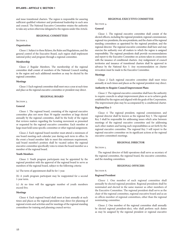and issue transitional charters. The region is responsible for assuring sufficient qualified volunteer and professional leadership in each area and council. The National Executive Committee retains the authority to take any action otherwise delegated to the regions under this Article.

#### **REGIONAL COMMITTEES**

#### SECTION 2.

#### **Organization**

*Clause 1.* Subject to these Bylaws, the Rules and Regulations, and the general control of the Executive Board, each region shall implement national policy and program through a regional committee.

#### **Membership**

*Clause 2.* Regular Members. The membership of the regional committee shall consist of members of the National Council residing in the region and such additional members as may be elected by the regional committee.

#### **Meetings**

*Clause 3.* Each regional committee shall meet once a year at such time and place as the regional executive committee or president may direct.

#### **REGIONAL BOARD**

#### SECTION 3.

#### **General**

*Clause 1.* The regional board, consisting of the regional executive committee plus not more than 50 regular members at large elected annually by the regional committee, shall be the body of the region that reviews matters regarding the Scouting movement as presented or requested by the regional executive committee. Each member at large must hold some specific committee or other regional assignment.

*Clause 2.* Each regional board member must attend a minimum of one board meeting each calendar year during each term in office. In the event a board member fails to meet this minimum requirement, said board member's position shall be vacated unless the regional executive committee specifically votes to retain the board member as a member of the regional board.

#### **Youth Members**

*Clause 3.* Youth program participants may be appointed by the regional president with the approval of the regional board to serve as members of the regional board, subject to the following criteria:

(a) The term of appointment shall be for 1 year.

(b) A youth program participant may be reappointed for a second 1-year term.

(c) At no time will the aggregate number of youth members exceed five.

#### **Meetings**

*Clause 4.* Each regional board shall meet at least annually at such times and places as the regional president may direct for planning of regional events and activities and for meetings of the regional standing committees for training and planning council service.

#### **REGIONAL EXECUTIVE COMMITTEE**

#### SECTION 4.

#### **General**

*Clause 1.* The regional executive committee shall consist of the elected officers, including the regional president, regional commissioner, regional vice presidents, the area presidents, and the chairs of the regional standing committees as appointed by the regional president, and the regional director. The regional executive committee shall have and may exercise the authority over all matters to which the region is assigned responsibility. The regional presidents shall provide recommendations and report to the Executive Committee on actions taken in connection with the issuance of conditional charters. Any realignment of council territories and issuance of transitional charters shall be approved in advance by the National Key 3. Any recommendation on charter revocation must be made to the Executive Committee.

#### **Meetings**

*Clause 2.* Each regional executive committee shall meet twice annually at such times and places as the regional president may direct.

#### **Authority to Require Council Improvement Plans**

*Clause 3.* The regional executive committee shall have the authority to require councils to adopt improvement plans so as to achieve goals established by the region and aligned with the goals of the Corporation. The improvement plan may be accompanied by a conditional charter.

#### **Regional Key 3**

*Clause 4.* The regional president, regional commissioner, and regional director shall be known as the regional Key 3. The regional Key 3 shall be responsible for addressing issues which arise between meetings of the regional executive committee and for addressing such other matters and having such responsibilities as set forth by the regional executive committee. The regional Key 3 will report to the regional executive committee on its significant actions at the regional executive committee's meetings.

#### **REGIONAL DIRECTOR**

#### SECTION 5.

The regional director of field operations shall serve as secretary of the regional committee, the regional board, the executive committee, and the standing committees.

#### **REGIONAL OFFICERS**

#### SECTION<sub>6</sub>.

#### **Regional President**

*Clause 1.* One member of each regional committee shall annually be elected regional president. Regional presidents shall be nominated and elected in the same manner as other members of the Executive Committee. The regional president shall serve as the chair of the regional committee, regional executive board and as an ex officio member of regional committees, other than the regional nominating committee.

*Clause 2*. One member of the regional committee shall annually be elected regional president-elect, who shall perform such duties as may be assigned by the regional president or regional executive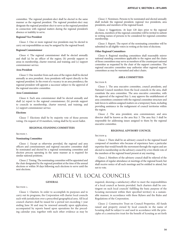committee. The regional president-elect shall be elected in the same manner as the regional president. The regional president-elect may designate the regional president-elect to serve as the regional president in connection with regional matters during the regional president's absence or inability to serve.

#### **Regional Vice President**

*Clause 3.* One or more regional vice presidents may be elected to carry out responsibilities as may be assigned by the regional board.

#### **Regional Commissioner**

*Clause 4.* The regional commissioner shall be elected annually and shall (a) be an officer of the region; (b) provide support to areas in membership, charter renewal, and training; and (c) support commissioner service.

#### **Area President**

*Clause 5.* One member from each area of the region shall be elected annually as area president. Area presidents will report directly to the regional president. In the event of a vacancy in an area presidency, the regional president will appoint a successor subject to the approval of the regional executive committee.

#### **Area Commissioner**

*Clause 6.* Each area commissioner shall be elected annually and shall (a) report to the regional commissioner; (b) provide support to councils in membership, charter renewal, and training; and (c) support commissioner service.

#### **Elections**

*Clause 7.* Elections shall be by majority vote of those persons voting. On request of 10 members, voting shall be by secret ballot.

#### **REGIONAL STANDING COMMITTEES**

#### SECTION 7.

#### **Nominating Committee**

*Clause 1.* Except as otherwise provided, the regional and area officers and commissioners and regional executive committee shall be nominated and elected by a regional nominating committee and election process operating in the same manner as is required for similar national positions.

*Clause 2.* Timing. The nominating committee will be appointed and the chair designated by the regional president at the time of the annual elections or within 30 days following such elections to serve until the next elections.

### ARTICLE VI. LOCAL COUNCILS

#### **GENERAL**

#### SECTION<sub>1</sub>.

*Clause 1.* Charters. In order to accomplish its purposes and to carry out its programs, the Corporation will charter local councils each with jurisdiction over a prescribed geographical area. All local council charters shall be issued for a period not exceeding 1 year ending June 30 and may be renewed annually upon application, accompanied by reports based upon operations for the preceding calendar year, together with such other evidence as may be

*Clause 3.* Nominees. Persons to be nominated and elected annually shall include the regional president, regional vice presidents, area presidents, and members of the regional board.

*Clause 4.* Suggestions. At least 120 days prior to the regional elections, members of the regional committee will be invited to submit in writing names of persons to be considered for regional committee membership.

*Clause 5.* Report. The report of the nominating committee will be submitted to all eligible voters in writing at the time of elections.

#### **Other Regional Committees**

*Clause 6.* Regional standing committees shall reasonably mirror national standing committees applicable to the region and the chairs of those committees may serve as members of the counterpart national committee as requested by the chair of the support committee. The regional executive committee may authorize other regional support committees as may be warranted and select chairs.

#### **AREA COMMITTEES**

SECTION 8.

*Clause 1.* The area executive committee, council presidents, and National Council members from the local councils in the area, shall constitute the area committee. The area executive committee, with the approval of the regional Key 3, may approve the establishment of area committees consistent with the regional committee structure and task forces to address assigned matters on a temporary basis, including providing assistance in the realignment of council territories within the region.

*Clause 2.* The area president, area commissioner, and area director shall be known as the area Key 3. The area Key 3 shall be responsible for addressing issues assigned to them by the regional executive committee.

#### **REGIONAL ADVISORY COUNCIL**

#### SECTION 9.

*Clause 1.* There shall be an advisory council to the regional board composed of members who because of experience have a particular expertise that would benefit the movement through the region and are elected to membership on the advisory council by a two-thirds vote of the members of the regional board present at any meeting.

*Clause 2.* Members of the advisory council shall be relieved of the obligation of regular attendance at meetings of the regional board, but shall receive notice of all such meetings and be entitled to attend, but not to vote.

required, showing a satisfactory effort to meet the responsibilities of a local council as herein provided. Such charters shall be contingent on such local councils' fulfilling the basic purpose of the Scouting movement within their specified territory in a sustainable manner, in accordance with these Bylaws and the Rules and Regulations of the Corporation.

*Clause 2.* Constructive Trust on Council Properties. All funds raised and property owned by local councils in the name of Scouting shall be subject to and used in accordance with the principles of a constructive trust for the benefit of Scouting as set forth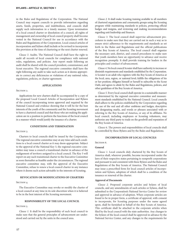in the Rules and Regulations of the Corporation. The National Council may request councils to provide information regarding assets, funds, properties, and indebtedness, and councils shall supply such information in a timely manner. Upon termination of a local council charter or dissolution of a council, all rights of management and ownership of local council property shall become vested in the National Council for use in accordance with the Rules and Regulations of the Corporation. Local council articles of incorporation and bylaws shall include or be revised to incorporate this provision at the time of chartering or the next charter renewal.

*Clause 3.* Audits. The National Council shall have the right to audit all records of local councils for compliance with national rules, regulations, and policies. Any report made following an audit shall be shared with the council president, commissioner, and Scout executive. The regional executive committee shall have the right following any audit to take such action as it deems appropriate to correct any deficiencies or violations of any national rules, regulations, policies, or charter agreement.

#### **APPLICATIONS**

#### SECTION<sub>2</sub>.

Applications for new charters shall be accompanied by a copy of the proposed Local Council Articles of Incorporation and Bylaws of the council incorporating terms approved and required by the National Council and evidence showing that it will be for the best interests of the youth of the community and the Scouting movement to have a chartered council and that those who are making the application are in a position to perform the functions of the local council in a manner which would justify the issuance of a charter.

#### **CONDITIONS AND TERMINATION**

#### SECTION 3.

Charters to local councils shall be issued by the Corporation. The regional executive committee may at any time add such conditions to a local council charter as it may deem appropriate. Subject to the approval of the National Key 3, the regional executive committee may issue a council a transitional charter in advance of the realignment of territory assigned to a local council. The Key 3 will report on any such transitional charter to the Executive Committee as soon thereafter as feasible under the circumstances. The regional executive committee may, with the approval of the Executive Committee, refuse to renew a local council charter in any instance where it deems such action advisable in the interests of Scouting.

#### **REVOCATION OR MODIFICATIONS OF CHARTERS**

#### SECTION 4.

The Executive Committee may revoke or modify the charter of a local council at any time in its sole discretion when it is believed to be in the best interest of the Scouting movement.

#### **RESPONSIBILITY OF THE LOCAL COUNCIL**

#### SECTION 5.

*Clause 1.* It shall be the responsibility of each local council to make sure that the general principles of advancement are understood and carried out by the units in the council area.

*Clause 2.* It shall make Scouting training available to all members of chartered organizations and community groups using the Scouting program while maintaining standards in policies, protecting official badges and insignia, and reviewing and making recommendations regarding unit leadership and finances.

*Clause 3.* The local council shall supervise advancement procedures to make sure that they are carried out in such a way as to ensure strict adherence to the requirements and standards as set forth in the Rules and Regulations and the official publications of the Boy Scouts of America. The local council shall organize the necessary unit, district, and council procedures to make sure that youth members have an opportunity to advance and receive recognition promptly. It shall provide training for leaders in the principles and conduct of advancement.

*Clause 4.* No local council Scouter shall have authority to increase or diminish requirements and standards established by the Corporation. A Scouter is an adult who registers with the Boy Scouts of America at the local, area, region, or national level; fulfills the obligations of his or her position; obligates himself or herself to subscribe to the Scout Oath; and agrees to abide by the Rules and Regulations, policies, and other guidelines of the Boy Scouts of America.

*Clause 5.* Every local council shall operate in a sustainable manner as determined by the regional executive committee and measurement standards established by the National Council. Local councils shall adhere to the policies established by the Corporation regarding the use of the seal and all other emblems and badges, descriptive and designating marks, and words or phrases associated with or referring to the Boy Scouts of America, or any of its affiliates. No local council, including employees or Scouting volunteers, may authorize any third party to trade on the goodwill and reputation of the Boy Scouts of America.

*Clause 6.* The powers and responsibilities of local councils shall be controlled by these Bylaws and by the Rules and Regulations.

#### **INCORPORATION OF LOCAL COUNCILS**

#### SECTION<sub>6</sub>.

#### **General**

*Clause 1.* Local councils duly chartered by the Boy Scouts of America shall, wherever possible, become incorporated under the laws of their respective states pertaining to nonprofit corporations and pursuant to and consistent with these Bylaws and the Rules and Regulations of the Boy Scouts of America. The National Council may issue a prescribed form for local council articles of incorporation and bylaws, adoption of which shall be a condition of the issuance or renewal of the charter.

#### **Approval of Documents**

*Clause 2.* Proposed corporate articles and bylaws of local councils, and any amendments of such articles or bylaws, shall be submitted to the Corporation's National Service Center for review and approval in advance of adoption. When corporate articles are found to be in proper form, a certificate of approval, with consent to incorporate, for Scouting purposes under the name agreed upon, shall be furnished in behalf of the Boy Scouts of America. This certificate shall be attached to the corporate articles when filed by the local council with the state authorities. Any changes to the bylaws of the local council shall be approved in advance by the National Service Center, and any changes to the requirements for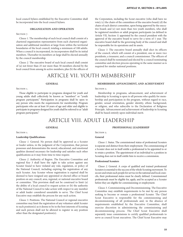local council bylaws established by the Executive Committee shall be incorporated into the local council bylaws.

#### **ORGANIZATION AND OPERATION**

#### SECTION<sub>7</sub>.

*Clause 1.* The membership of each local council shall consist of a chartered organization representative from each chartered organization and additional members at large from within the territorial boundaries of the local council, totaling a minimum of 100 adults. When a council is incorporated, its incorporators shall be its initial members. Thereafter its members-at-large shall be elected annually by the council membership.

*Clause 2.* The executive board of each local council shall consist of (a) not fewer than 25 nor more than 50 members elected by the local council from among its active members; plus (b) the officers of

the Corporation, including the Scout executive (who shall have no vote); (c) the chairs of the committees of the executive board; (d) the chairs of each district committee, upon being approved by the executive board; and (e) not more than two youth members, who shall be registered members or adult program participants (as defined in Article VII, Section 1) appointed by the council president with the approval of the executive board to serve for a term of 1 year. The executive board shall be the governing body of the council and shall be responsible for its operations and its assets.

*Clause 3.* The executive board annually shall elect its officers of the council, which will consist of a president, one or more vice presidents, a treasurer, and a council commissioner. The officers of the council shall be nominated and elected by a council nominating committee and election process operating in the same manner as is required for similar national positions.

### ARTICLE VII. YOUTH MEMBERSHIP

#### **GENERAL**

#### SECTION 1.

Those eligible to participate in programs designed for youth and young adults shall collectively be known as "members" or "youth program participants." Participation in programs shall be open to any person who meets the requirements for membership. Program participants who are at least 18 years of age and older and eligible to participate in programs designed for youth shall be referred to as "adult program participants."

#### **MEMBERSHIP, ADVANCEMENT, AND ACHIEVEMENT**

SECTION<sub>2</sub>.

Membership in programs, advancement, and achievement of leadership in Scouting is open to all persons who qualify for membership and participation in the program, without regard to race, gender, sexual orientation, gender identity, ethnic background, or religion, and who subscribe to the Declaration of Religious Principle. Advancement and achievement of leadership in Scouting shall be based entirely upon individual merit.

### ARTICLE VIII. ADULT LEADERSHIP

#### **GENERAL**

SECTION<sub>1</sub>.

#### **Leadership Qualifications**

*Clause 1.* General. No person shall be approved as a Scouter or leader unless, in the judgment of the Corporation, that person possesses and demonstrates the moral, educational, and emotional qualities deemed necessary for leadership and satisfies such other qualifications as it may from time to time require.

*Clause 2.* Authority of Region. The Executive Committee and regional Key 3 shall have the right to take action against any Scouter found to have violated any rule, regulation, or policy of the National Council, including expiring the registration of any such Scouter. Any Scouter whose registration is expired shall be deemed to have resigned any appointed or elected office or board position on any council, area, regional, or national executive board or committee. This provision shall not be construed to limit (a) the ability of a local council to request action or (b) the authority of the National Council to take action with respect to any member or adult leader considered unsuitable to serve. The Chief Scout Executive may establish the process for any such action.

*Clause 3.* Positions. The National Council or regional executive committee may limit the registration of any volunteer adult Scouter to such position(s) as it deems to be in the best interests of Scouting and such person shall not be allowed to register in any position other than the designated position(s).

#### **PROFESSIONAL LEADERSHIP**

SECTION<sub>2</sub>.

#### **General**

*Clause 1.* Status. The commissioned status of professional Scouters is separate and distinct from their employment. The commissioning of a Scouter does not in itself entitle a professional to be appointed to or to retain a position. The appointment of an individual to a position in Scouting does not in itself entitle him to receive a commission.

#### **Professional Scouters**

*Clause 2.* General. A corps of qualified and trained professional Scouters is essential to the success of the whole Scouting movement. To secure and retain such people for service in the national and local councils, their professional status must be clearly defined. Commissioned professionals must be eligible for, apply, and be accepted as a Scouter before they are eligible for commissioning or employment.

*Clause 3.* Commissioning and Decommissioning. The Executive Committee may establish requirements to be met by any person seeking to become or remain a professional Scouter. The Chief Scout Executive is responsible for the commissioning and decommissioning of all professionals and, in the absence of requirements established by the Executive Committee, shall exercise discretion in administering the commissioning and decommissioning process. The Chief Scout Executive shall separately issue commissions to certify qualified professionals to serve as council Scout executives. The Chief Scout Executive may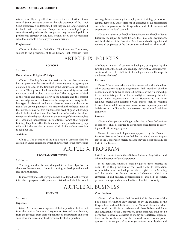refuse to certify as qualified or remove the certification of any council Scout executive when, in the sole discretion of the Chief Scout Executive, it is determined that they are no longer qualified to hold that certification. Except for newly employed, precommissioned professionals, no person may be employed in a professional capacity by any local council or by the Corporation who does not hold a currently valid commission.

#### **Employment**

*Clause 4.* Rules and Guidelines. The Executive Committee, subject to the provisions of these Bylaws, shall establish rules

#### **POLICIES**

#### SECTION 1.

#### **Declaration of Religious Principle**

*Clause 1.* The Boy Scouts of America maintains that no member can grow into the best kind of citizen without recognizing an obligation to God. In the first part of the Scout Oath the member declares, "On my honor I will do my best to do my duty to God and my country and to obey the Scout Law." The recognition of God as the ruling and leading power in the universe and the grateful acknowledgment of His favors and blessings are necessary to the best type of citizenship and are wholesome precepts in the education of the growing members. No matter what the religious faith of the members may be, this fundamental need of good citizenship should be kept before them. The Boy Scouts of America, therefore, recognizes the religious element in the training of the member, but it is absolutely nonsectarian in its attitude toward that religious training. Its policy is that the home and the organization or group with which the member is connected shall give definite attention to religious life.

#### **Activities**

*Clause 2.* The activities of the Boy Scouts of America shall be carried on under conditions which show respect to the convictions

### ARTICLE X. PROGRAM

#### **PROGRAM OBJECTIVES**

#### SECTION<sub>1</sub>.

The program shall be one designed to achieve objectives in character development, citizenship training, leadership, and mental and physical fitness.

In its several phases the program shall be adapted to the groups into which program participants are divided and shall be as set

### ARTICLE XI. BUSINESS

#### **FINANCE**

#### SECTION 1.

#### **Expenses**

*Clause 1.* The necessary expenses of the Corporation shall be met from the receipts from annual registration fees and contributions; from the proceeds from sales of publications and supplies; and from such other sources as may be determined by the Corporation.

and regulations covering the employment, training, promotion, tenure, demotion, and retirement or discharge of all professional and other employees of the Corporation and of all professional employees of the local councils.

*Clause 5.* Authority of the Chief Scout Executive. The Chief Scout Executive is, subject to these Bylaws, the Rules and Regulations, and the decisions of the Executive Board, authorized to appoint and remove all employees of the Corporation and to direct their work.

# ARTICLE IX. POLICIES

of others in matters of custom and religion, as required by the twelfth point of the Scout Law, reading, "Reverent. A Scout is reverent toward God. He is faithful in his religious duties. He respects the beliefs of others."

#### **Freedom**

*Clause 3.* In no case where a unit is connected with a church or other distinctively religious organization shall members of other denominations or faiths be required, because of their membership in the unit, to take part in or observe a religious ceremony distinctly unique to that organization or church. However, no church or religious organization holding a valid charter shall be required to accept as an adult leader any person whose espoused personal beliefs are in conflict with the chartered organization's religious principles.

#### **Leaders**

*Clause 4.* Only persons willing to subscribe to these declarations of principles shall be entitled to certificates of leadership in carrying out the Scouting program.

*Clause 5.* Rules and Regulations approved by the Executive Board or Executive Committee shall be considered no less important to the Corporation merely because they are not specifically set forth in the Bylaws.

forth from time to time in these Bylaws, Rules and Regulations, and other publications of the Corporation.

In all activities, emphasis shall be placed upon practice in daily life of the principles of the Scout Oath. In association with suitable adult leadership, members registered in Scouting will be guided to develop traits of character which are expressed in self-reliance, consideration of and help to others, personal courage, and above all in lives of useful citizenship.

#### **Contributions**

*Clause 2.* Contributions shall be solicited in the name of the Boy Scouts of America only through or by the authority of the Corporation, and shall be limited to the National Council or chartered local councils, in accordance with these Bylaws and Rules and Regulations of the Corporation. Youth members shall not be permitted to serve as solicitors of money for chartered organizations, for the local council, for the National Council, for corporate sponsors, or in support of other organizations. Adult leaders and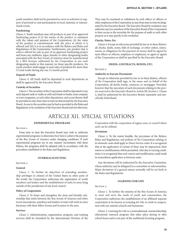#### **Fundraising**

*Clause 3.* Youth members may sell products as part of an approved fundraising project if (i) the nature of the product is consistent with the values and purpose of the Corporation; (ii) the value of the product is commensurate with the price at which it is offered; and (iii) it is in accordance with the Bylaws and Rules and Regulations of the Corporation. Furthermore, any product that is sold or offered for sale as part of an approved fundraising project and bears any emblems, logos, brands, or other designating marks associated with the Boy Scouts of America must be manufactured by a BSA licensee authorized by the Corporation to use such designating marks in that manner on those specific products. No youth member shall engage in such sales of products for more than 12 total weeks during any one 12-month period.

#### **Deposit of Funds**

*Clause 4.* All funds shall be deposited in such depositories as shall be approved by the Executive Board.

#### **Custody of Securities**

*Clause 5.* The securities of the Corporation shall be deposited in any such deposit vault or vaults or with such bank or banks, trust company or trust companies, or such other depositories, and access thereto shall be provided as may from time to time be determined by the Executive Board. Access to the securities may be had as provided in the Rules and Regulations or by resolution of the Executive Board and not otherwise. They may be examined or withdrawn by such officer or officers or other employees of the Corporation as may from time to time be designated by the Executive Board. The Executive Board by resolution may authorize any two members of the Executive Board of the Corporation to have access to the securities for the purpose of audit or such other purpose as it may specify in the resolution.

#### **Checks, Notes, Etc.**

*Clause 6.* Except as otherwise provided by law or in these Bylaws, all checks, drafts, notes, bills of exchange, or other orders, instruments, or obligations for the payment of money shall be signed by such officer or officers, employee or employees, or agent or agents of the Corporation as shall be specified by the Executive Board.

#### **DEEDS, CONTRACTS, BONDS, ETC.**

#### SECTION 2.

#### **Authority to Execute Documents**

Except as otherwise provided by law or in these Bylaws, officers of the Corporation shall sign, in the name and on behalf of the Corporation, all deeds, bonds, contracts, or mortgages. Provided, however that the execution of such documents relating to the powers reserved to the Executive Board in Article III, Section 1, Clause 2, shall be authorized by the Executive Board, separately and specifically beforehand.

### ARTICLE XII. SPECIAL SITUATIONS

#### **EXPERIMENTAL PROGRAMS**

#### SECTION 1.

From time to time the Executive Board may wish to authorize experimental programs to determine how best to achieve the purpose of the Boy Scouts of America under changing conditions. If such experimental programs are in any manner inconsistent with these Bylaws, the programs shall be adopted only in accordance with the procedures established in the Rules and Regulations.

#### **OVERSEAS SCOUTING**

#### SECTION 2.

#### **General**

*Clause 1.* To further its objectives of extending membership privileges to citizens of the United States in other parts of the world, the Corporation authorizes the registration of youth members and leaders and the establishment of units in areas lying outside of the jurisdiction of any local council.

#### **Policy of Cooperation**

*Clause 2.* To foster and strengthen the close and friendly relationship that exists between the Boy Scouts of America and other Scout associations, members and leaders of units will work in close harmony with their fellow Scouts and Scouters in the area.

#### **Services**

*Clause 3.* Administration, organization, program, and training services shall be furnished by the International Division of the Corporation with the cooperation of region, area, or council where such can be utilized.

#### **Deviations**

*Clause 4.* To the extent feasible, the provisions of the Bylaws, Rules and Regulations, and policies of the Corporation relating to its domestic units shall apply to Direct Service units. It is recognized that as the application of certain of these may be impractical, their waiver or modifications will be permitted. Also due to varying conditions, it is recognized that such waiver and modification could result in nonuniform application as between units.

Any deviations will be authorized by the Executive Committee, whose authority may be delegated to a committee or subcommittee. Major deviations of a general nature normally will be set forth in the Rules and Regulations.

#### **LEARNING FOR LIFE**

#### SECTION 3.

*Clause 1.* To further the mission of the Boy Scouts of America to meet and serve the needs of youth and communities, the Corporation authorizes the establishment of an affiliated separate corporation to be known as Learning for Life, to work in cooperation with our nation's schools and businesses.

*Clause 2.* Learning for Life is a nontraditional, nonmembership, educational outreach program that takes place during or after school hours and is not part of the traditional Scouting program.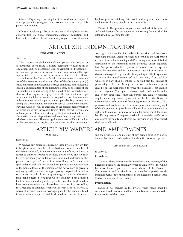*Clause 3.* Exploring is Learning for Life's workforce development career program for young men and women who meet the participation requirements.

*Clause 4.* Exploring is based on five areas of emphasis: career opportunities, life skills, citizenship, character education, and leadership experience. Local community organizations initiate an

#### **INDEMNIFICATION**

#### SECTION 1.

The Corporation shall indemnify any person who was, is, or is threatened to be made a named defendant or respondent in any action, suit, or proceeding, civil or criminal (a "Proceeding"), because such person, or a person of whom such person is the legal representative, (i) is or was a member of the Executive Board, a committee of the Executive Board, a subcommittee of a committee of the Executive Board, or an officer of the Corporation; or (ii) while a member of the Executive Board, a committee of the Executive Board, a subcommittee of the Executive Board, or an officer of the Corporation, is or was serving at the request of the Corporation as a director, officer, agent, or employee of another corporation or organization, to the fullest extent that a nonprofit corporation may grant indemnification to such a person under applicable law, without subjecting the Corporation to any income or excise tax under the Internal Revenue Code of 1986, as amended, or the corresponding provision or provisions of any subsequent United States Internal Revenue law or laws; provided, however, that any right to indemnification from the Corporation under this provision shall not extend to any matter as to which such person shall have engaged in wanton or willful misconduct in the performance or neglect of a duty owed to the Corporation.

### **WAIVERS** ARTICLE XIV. WAIVERS AND AMENDMENTS

#### SECTION 1.

Whenever any notice is required by these Bylaws or by any law to be given to any member of the National Council, member of the Executive Board, or any committee or any officer, such notice except as otherwise provided by these Bylaws or by any law may be given personally or by fax or electronic mail addressed to the person at such person's place of business, if any, or (to the extent applicable) at such address as has been given to the Corporation as the home address of the person; or the notice may be given in writing by mail, in a sealed wrapper, postage prepaid, addressed to such person at such address. Any notice given by fax or electronic mail shall be deemed to be given when it shall have been delivered for transmission and any notice given by mail shall be deemed to have been given when it shall have been deposited in a post office, in a regularly maintained letter box, or with a postal carrier. A waiver of any such notice in writing, signed by the person entitled to such notice as required, shall be deemed the equivalent thereof, Explorer post by matching their people and program resources to the interests of young people in the community.

*Clause 5.* The program, organization, and administration of and qualifications for participation in Learning for Life shall be established by Learning for Life.

# ARTICLE XIII. INDEMNIFICATION

Any right to indemnification under this provision shall be a contract right and shall include the right to be paid by the Corporation expenses incurred in defending such Proceeding in advance of its final disposition to the maximum extent permitted under applicable law. Any person who has requested an advancement of expenses under this provision and has not received such advance within 30 days of such request, may thereafter bring suit against the Corporation to recover the unpaid amount of such claim and, if successful in whole or in part, shall be entitled to be paid also the expense of prosecuting such claim. In any such action, the burden of proof shall be on the Corporation to prove the claimant is not entitled to such payment. The rights conferred herein shall not be exclusive of any other right which any person may have or hereafter acquire under any statute, bylaw, vote of the Executive Board or a committee or subcommittee thereof, agreement or otherwise. This provision shall not be deemed to limit any power or exclude any right of the Corporation to provide any additional or other indemnity or right, or to maintain insurance or a similar arrangement for or on behalf of any person. If this provision should be invalid or ineffective in any respect, the validity and effect of this provision in any other respect shall not be affected.

and the presence at any meeting of any person entitled to notice thereof shall be deemed a waiver of such notice as to such person.

#### **AMENDMENT OF BYLAWS**

#### SECTION 2.

### **Procedures**

*Clause 1.* These Bylaws may be amended at any meeting of the Executive Board by the affirmative vote of a majority of the whole Executive Board; upon the recommendation of the Executive Committee of the Executive Board; or when the proposed amendment has been sent to the members of the Executive Board at least 15 days in advance of the meeting.

#### **Promulgation**

*Clause 2.* All changes in the Bylaws, when made, shall be announced to the national and local councils in such manner as the Executive Board shall direct.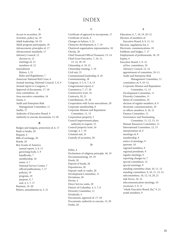### INDEX

### **A**

Access to securities, 20 Activities, policy on, 19 Adult leadership, 18–19 Adult program participants, 18 Advancement, principles of, 17 Advancement standards, 17 Advisory Council, 12 election to, 12 meetings of, 12 members of, 12 Amendment Bylaws, 5, 21 Rules and Regulations, 7 American National Red Cross, 6 Annual meeting, National Council, 5, 8, 9 Annual report to Congress, 5 Approval of documents, 17–18 Area committees, 16 Area executive committee, 16 Assets, 4 Audit and Enterprise Risk Management Committee, 11 Audits, 17 Authority of Executive Board, 9 Authority to execute documents, 13, 20

#### **B**

Badges and insignia, protection of, 6, 17 Bank or banks, 20 Bequest, 4 Bills of exchange, 20 Bonds, 20 Boy Scouts of America annual report, 5, 8, 13 governing body, 5, 9 handbooks, 7 membership, 18 name, 4, 7 National Service Center, 7 official publications, 7, 17 policies, 19 program, 19 purpose, 4, 7 seal, 4, 5, 7, 17 Business, 19–20 Bylaws, amendments to, 5, 21

#### **C**

Certificate of approval to incorporate, 17 Certificate of stock, 4 Changes in bylaws, 5, 21 Character development, 6, 7, 19 Chartered organization representative, 18 Checks, 20 Chief Financial Officer/Treasurer, 13–14 Chief Scout Executive, 7, 10, 11, 13, 14, 18–19 Citizenship, 6, 19, 21 Citizenship training, 7, 19 Civil suit, 21 Commissioned leadership, 8, 18 Commissioning, 18 Congress, 4–5, 6, 7, 8, 13 Congressional report, 6 Consistency, 7, 17, 20 Constructive trust, 16 Contracts, 20, 21 Contributions, 19–20 Cooperation with Scout associations, 20 Corporate membership, 8 Corporate Mission and Reputation Committee, 11, 13 Corporation property, 5 Council improvement plans, authority to require, 15 Council property trust, 16 Courage, 4, 7, 19 Criminal suit, 21 Custody of securities, 20

#### **D**

Debts, 4 Declaration of religious principle, 18, 19 Decommissioning, 18–19 Deeds, 20 Deposit of funds, 20 Depositories, 20 Deposit vault or vaults, 20 Development Committee, 11 Deviations, 20 Devise, 4 Direct Service units, 20 District of Columbia, 4, 5, 7, 8 Diversity Committee, 11 Dividends, 4 Documents, approval of, 17–18 Documents, authority to execute, 13, 20 Drafts, 20

#### **E**

Education, 6, 7, 18, 19, 20–21 Election of members of Executive Board, 8, 9, 11, 14 Election, regulations for, 4 Electronic communications, 10 Emblems and badges, 7, 17 Employment of professionals, 18, 19 Equity, 4 Executive Board, 5, 9–12 ad hoc committees, 10 Advisory Council, 12, 14 appointment of committee, 10–11 Audit and Enterprise Risk Management Committee, 11 committees of, 9, 10–12 Corporate Mission and Reputation Committee, 11, 13 Development Committee, 11 Diversity Committee, 11 duties of committees, 10 election of regular members, 8, 9 electronic communications, 10 ex officio members, 9, 10, 12 Finance Committee, 11 Governance and Nominating Committee, 11, 12, 13, 14 Human Resources Committee, 11 International Committee, 12, 13 interpretation of, 9 meetings of, 9 membership, 9 notice of meetings, 9 quorum, 10 regional members, 9 regional presidents, 9 regular meetings, 9 reporting changes to, 7 special committees, 12 special meetings, 9 standing committee chair, 10, 11, 13 standing committees, 9, 10, 11, 13, 14 subcommittees, 10, 12, 14, 20, 21 task forces, 10, 14 telecommunication meetings, 10 vacancies, 5, 9, 11 "whole Executive Board, the," 9, 21 youth members, 9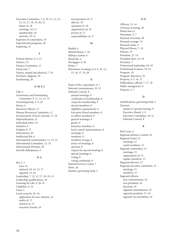Executive Committee, 7, 9, 10–11, 12, 13, 14, 15, 17, 18, 19, 20, 21 duties of, 10 meetings, 10–11 membership, 10 quorum, 10–11 Expenses of corporation, 19 Experimental programs, 20 Exploring, 21

#### **F**

Federal charter, 4–5, 13 Finance, 19 Finance Committee, 11 Fiscal year, 7 Fitness, mental and physical, 7, 19 Freedom, religious, 19 Fundraising, 20

#### **G–H–I–J**

Gift, 4 Governance and Nominating Committee, 9, 11, 12, 13, 14 Governing body, 5, 9, 18 Honor, 6 Honorary officers, 11 Human Resources Committee, 11 Incorporation of local councils, 17–18 Indemnification, 21 Individual merit, 18 Initiative, 6 Insignia, 6, 17 Instruments, 20 Intellectual life, 6 International commissioner, 11, 12, 13 International Committee, 12, 13 International Division, 20 Juvenile delinquency, 6

#### **K–L**

Key 3, 5 area, 16 national, 10, 14, 15, 17 regional, 15, 16 Leadership, 7, 13, 15, 17, 18–19, 21 Leadership qualifications, 18 Learning for Life, 9, 20–21 Liabilities, 4, 14 Liens, 5 Local councils, 16–18 application for new charters, 16 audits of, 17 charters to, 17 executive boards, 18

incorporation of, 17 officers, 18 operation of, 18 organization of, 18 powers of, 17 responsibilities of, 17

#### **M**

Medals, 6 Mental fitness, 7, 19 Military system, 6 Moral life, 6 Mortgages, 9, 20 Motto, 7 Movement, Scouting, 6, 8, 9, 10, 12, 15, 16, 17, 19, 20

#### **N**

Name of the corporation, 4, 7 National commissioner, 10, 13 National Council, 8 annual meetings, 8 certificates of membership, 8 corporate membership, 8 elected members, 8 eligibility requirements, 8 Executive Board members, 8 ex officio members, 8 general meetings, 8 guests, 8 honorary members, 8 local council representatives, 8 meetings, 8 members, 8 members at large, 8 notice of meetings, 8 quorum, 8 request for special meeting, 8 special meetings, 8 voting, 8 voting credentials, 8 National Service Center, 7 Notes, 20 Number, governing body, 5

**O–P**

Officers, 13–14 Overseas Scouting, 20 Patent laws, 6 Patriotism, 4, 7 Payment of money, 20 Personal courage, 19 Personal estate, 4 Physical fitness, 7, 19 Policies, 19 President, 13, 14 President-elect, 15–16 Priorities, 7 Professional leadership, 18–19 Professional Scouters, 18–19 Program, 19 Program objectives, 19 Property, 4, 5, 16, 17 Publications, official, 7, 17, 18 Public emergencies, 6 Purpose, 4, 7

### **Q**

Qualifications, governing body, 5 Quorum annual or special meeting, 9 Executive Board, 5, 9 Executive Committee, 10–11 National Council, 8

#### **R**

Red Cross, 6 Regional advisory council, 16 Regional board, 15 meetings, 15 youth members, 15 Regional committees, 15 meetings, 15 organization of, 15 regular members, 15 Regional director, 15 Regional executive committee, 15 meetings, 15 members, 15 Regional officers area commissioner, 16 area president, 16 elections, 16 regional commissioner, 16 regional president, 15–16 regional vice presidents, 16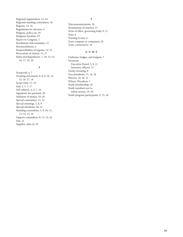Regional organization, 14–16 Regional standing committees, 16 Regions, 14–16 Regulations for election, 4 Religion, policy on, 19 Religious freedom, 19 Report to Congress, 5 Resolutions Subcommittee, 12 Resourcefulness, 6 Responsibilities of regions, 14–15 Revocation of charter, 15, 17 Rules and Regulations, 7, 10, 13, 15, 16, 17, 19, 20

### **S**

Scoutcraft, 4, 7 Scouting movement, 6, 8, 9, 10, 12, 15, 16, 17, 18 Scout Oath, 17, 19 Seal, 4, 5, 7, 17 Self-reliance, 4, 6, 7, 19 Signatures for payment, 20 Solicitors of money, 19–20 Special committees, 11, 12 Special meetings, 5, 8, 9 Special situations, 20–21 Standing committees, 5, 9, 10, 11, 13, 14, 15, 16 Support committees, 8, 13, 14, 16 Suit, 21 Supplies, sales of, 19

#### **T**

Telecommunications, 10 Termination of charters, 17 Term of office, governing body, 9, 11 Tests, 6 Training Scouts, 6 Trust company or companies, 20 Trust, constructive, 16

#### **U–V–W–Y**

Uniforms, badges, and insignia, 7 Vacancies Executive Board, 5, 9, 11 honorary officers, 11 Varsity Scouting, 8 Vice presidents, 15, 16, 18 Waivers, 10, 20, 21 Wilson, Woodrow, 5 Youth membership, 18 Youth members not to solicit money, 19–20 Youth program participants, 9, 15, 18